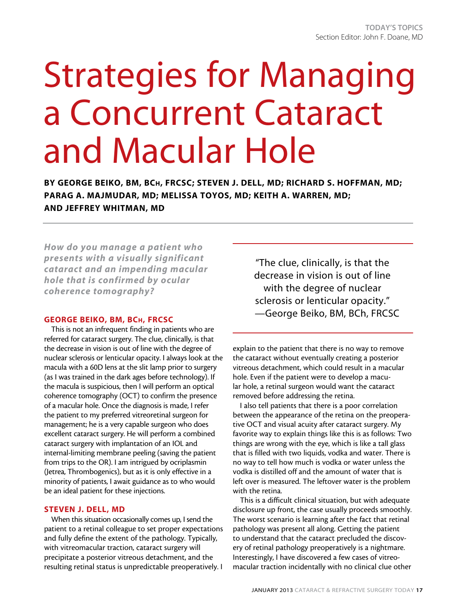# Strategies for Managing a Concurrent Cataract and Macular Hole

By George Beiko, BM, BCh, FRCSC; Steven J. Dell, MD; Richard S. Hoffman, MD; Parag A. Majmudar, MD; Melissa Toyos, MD; Keith A. Warren, MD; and Jeffrey Whitman, MD

*How do you manage a patient who presents with a visually significant cataract and an impending macular hole that is confirmed by ocular coherence tomography?*

# George Beiko, BM, BCh, FRCSC

This is not an infrequent finding in patients who are referred for cataract surgery. The clue, clinically, is that the decrease in vision is out of line with the degree of nuclear sclerosis or lenticular opacity. I always look at the macula with a 60D lens at the slit lamp prior to surgery (as I was trained in the dark ages before technology). If the macula is suspicious, then I will perform an optical coherence tomography (OCT) to confirm the presence of a macular hole. Once the diagnosis is made, I refer the patient to my preferred vitreoretinal surgeon for management; he is a very capable surgeon who does excellent cataract surgery. He will perform a combined cataract surgery with implantation of an IOL and internal-limiting membrane peeling (saving the patient from trips to the OR). I am intrigued by ocriplasmin (Jetrea, Thrombogenics), but as it is only effective in a minority of patients, I await guidance as to who would be an ideal patient for these injections.

## Steven J. Dell, MD

When this situation occasionally comes up, I send the patient to a retinal colleague to set proper expectations and fully define the extent of the pathology. Typically, with vitreomacular traction, cataract surgery will precipitate a posterior vitreous detachment, and the resulting retinal status is unpredictable preoperatively. I

"The clue, clinically, is that the decrease in vision is out of line with the degree of nuclear sclerosis or lenticular opacity." —George Beiko, BM, BCh, FRCSC

explain to the patient that there is no way to remove the cataract without eventually creating a posterior vitreous detachment, which could result in a macular hole. Even if the patient were to develop a macular hole, a retinal surgeon would want the cataract removed before addressing the retina.

I also tell patients that there is a poor correlation between the appearance of the retina on the preoperative OCT and visual acuity after cataract surgery. My favorite way to explain things like this is as follows: Two things are wrong with the eye, which is like a tall glass that is filled with two liquids, vodka and water. There is no way to tell how much is vodka or water unless the vodka is distilled off and the amount of water that is left over is measured. The leftover water is the problem with the retina.

This is a difficult clinical situation, but with adequate disclosure up front, the case usually proceeds smoothly. The worst scenario is learning after the fact that retinal pathology was present all along. Getting the patient to understand that the cataract precluded the discovery of retinal pathology preoperatively is a nightmare. Interestingly, I have discovered a few cases of vitreomacular traction incidentally with no clinical clue other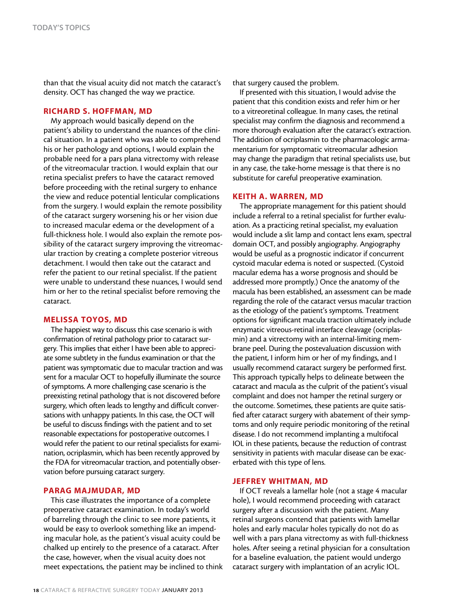than that the visual acuity did not match the cataract's density. OCT has changed the way we practice.

### Richard S. Hoffman, MD

My approach would basically depend on the patient's ability to understand the nuances of the clinical situation. In a patient who was able to comprehend his or her pathology and options, I would explain the probable need for a pars plana vitrectomy with release of the vitreomacular traction. I would explain that our retina specialist prefers to have the cataract removed before proceeding with the retinal surgery to enhance the view and reduce potential lenticular complications from the surgery. I would explain the remote possibility of the cataract surgery worsening his or her vision due to increased macular edema or the development of a full-thickness hole. I would also explain the remote possibility of the cataract surgery improving the vitreomacular traction by creating a complete posterior vitreous detachment. I would then take out the cataract and refer the patient to our retinal specialist. If the patient were unable to understand these nuances, I would send him or her to the retinal specialist before removing the cataract.

### Melissa Toyos, MD

The happiest way to discuss this case scenario is with confirmation of retinal pathology prior to cataract surgery. This implies that either I have been able to appreciate some subtlety in the fundus examination or that the patient was symptomatic due to macular traction and was sent for a macular OCT to hopefully illuminate the source of symptoms. A more challenging case scenario is the preexisting retinal pathology that is not discovered before surgery, which often leads to lengthy and difficult conversations with unhappy patients. In this case, the OCT will be useful to discuss findings with the patient and to set reasonable expectations for postoperative outcomes. I would refer the patient to our retinal specialists for examination, ocriplasmin, which has been recently approved by the FDA for vitreomacular traction, and potentially observation before pursuing cataract surgery.

### Parag Majmudar, MD

This case illustrates the importance of a complete preoperative cataract examination. In today's world of barreling through the clinic to see more patients, it would be easy to overlook something like an impending macular hole, as the patient's visual acuity could be chalked up entirely to the presence of a cataract. After the case, however, when the visual acuity does not meet expectations, the patient may be inclined to think that surgery caused the problem.

If presented with this situation, I would advise the patient that this condition exists and refer him or her to a vitreoretinal colleague. In many cases, the retinal specialist may confirm the diagnosis and recommend a more thorough evaluation after the cataract's extraction. The addition of ocriplasmin to the pharmacologic armamentarium for symptomatic vitreomacular adhesion may change the paradigm that retinal specialists use, but in any case, the take-home message is that there is no substitute for careful preoperative examination.

### Keith A. Warren, MD

The appropriate management for this patient should include a referral to a retinal specialist for further evaluation. As a practicing retinal specialist, my evaluation would include a slit lamp and contact lens exam, spectral domain OCT, and possibly angiography. Angiography would be useful as a prognostic indicator if concurrent cystoid macular edema is noted or suspected. (Cystoid macular edema has a worse prognosis and should be addressed more promptly.) Once the anatomy of the macula has been established, an assessment can be made regarding the role of the cataract versus macular traction as the etiology of the patient's symptoms. Treatment options for significant macula traction ultimately include enzymatic vitreous-retinal interface cleavage (ocriplasmin) and a vitrectomy with an internal-limiting membrane peel. During the postevaluation discussion with the patient, I inform him or her of my findings, and I usually recommend cataract surgery be performed first. This approach typically helps to delineate between the cataract and macula as the culprit of the patient's visual complaint and does not hamper the retinal surgery or the outcome. Sometimes, these patients are quite satisfied after cataract surgery with abatement of their symptoms and only require periodic monitoring of the retinal disease. I do not recommend implanting a multifocal IOL in these patients, because the reduction of contrast sensitivity in patients with macular disease can be exacerbated with this type of lens.

### Jeffrey Whitman, MD

If OCT reveals a lamellar hole (not a stage 4 macular hole), I would recommend proceeding with cataract surgery after a discussion with the patient. Many retinal surgeons contend that patients with lamellar holes and early macular holes typically do not do as well with a pars plana vitrectomy as with full-thickness holes. After seeing a retinal physician for a consultation for a baseline evaluation, the patient would undergo cataract surgery with implantation of an acrylic IOL.